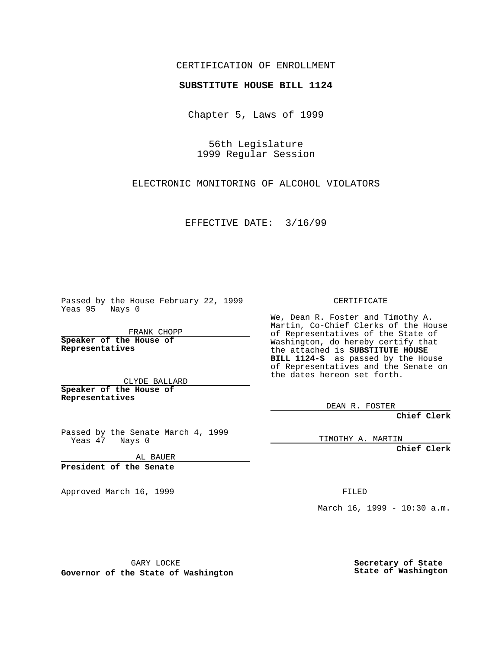## CERTIFICATION OF ENROLLMENT

## **SUBSTITUTE HOUSE BILL 1124**

Chapter 5, Laws of 1999

56th Legislature 1999 Regular Session

ELECTRONIC MONITORING OF ALCOHOL VIOLATORS

EFFECTIVE DATE: 3/16/99

Passed by the House February 22, 1999 Yeas 95 Nays 0

FRANK CHOPP **Speaker of the House of**

**Representatives**

CLYDE BALLARD **Speaker of the House of**

**Representatives**

Passed by the Senate March 4, 1999 Yeas 47 Nays 0

AL BAUER

**President of the Senate**

Approved March 16, 1999 **FILED** 

CERTIFICATE

We, Dean R. Foster and Timothy A. Martin, Co-Chief Clerks of the House of Representatives of the State of Washington, do hereby certify that the attached is **SUBSTITUTE HOUSE BILL 1124-S** as passed by the House of Representatives and the Senate on the dates hereon set forth.

DEAN R. FOSTER

**Chief Clerk**

TIMOTHY A. MARTIN

**Chief Clerk**

March 16, 1999 - 10:30 a.m.

GARY LOCKE

**Governor of the State of Washington**

**Secretary of State State of Washington**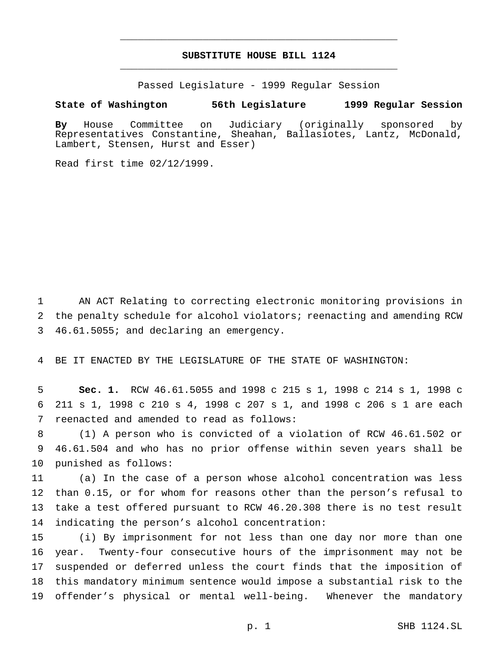## **SUBSTITUTE HOUSE BILL 1124** \_\_\_\_\_\_\_\_\_\_\_\_\_\_\_\_\_\_\_\_\_\_\_\_\_\_\_\_\_\_\_\_\_\_\_\_\_\_\_\_\_\_\_\_\_\_\_

\_\_\_\_\_\_\_\_\_\_\_\_\_\_\_\_\_\_\_\_\_\_\_\_\_\_\_\_\_\_\_\_\_\_\_\_\_\_\_\_\_\_\_\_\_\_\_

Passed Legislature - 1999 Regular Session

## **State of Washington 56th Legislature 1999 Regular Session**

**By** House Committee on Judiciary (originally sponsored by Representatives Constantine, Sheahan, Ballasiotes, Lantz, McDonald, Lambert, Stensen, Hurst and Esser)

Read first time 02/12/1999.

 AN ACT Relating to correcting electronic monitoring provisions in the penalty schedule for alcohol violators; reenacting and amending RCW 46.61.5055; and declaring an emergency.

BE IT ENACTED BY THE LEGISLATURE OF THE STATE OF WASHINGTON:

 **Sec. 1.** RCW 46.61.5055 and 1998 c 215 s 1, 1998 c 214 s 1, 1998 c 211 s 1, 1998 c 210 s 4, 1998 c 207 s 1, and 1998 c 206 s 1 are each reenacted and amended to read as follows:

 (1) A person who is convicted of a violation of RCW 46.61.502 or 46.61.504 and who has no prior offense within seven years shall be punished as follows:

 (a) In the case of a person whose alcohol concentration was less than 0.15, or for whom for reasons other than the person's refusal to take a test offered pursuant to RCW 46.20.308 there is no test result indicating the person's alcohol concentration:

 (i) By imprisonment for not less than one day nor more than one year. Twenty-four consecutive hours of the imprisonment may not be suspended or deferred unless the court finds that the imposition of this mandatory minimum sentence would impose a substantial risk to the offender's physical or mental well-being. Whenever the mandatory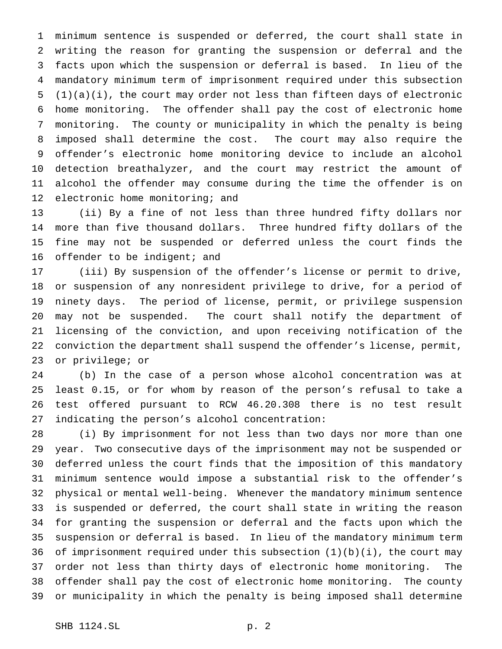minimum sentence is suspended or deferred, the court shall state in writing the reason for granting the suspension or deferral and the facts upon which the suspension or deferral is based. In lieu of the mandatory minimum term of imprisonment required under this subsection (1)(a)(i), the court may order not less than fifteen days of electronic home monitoring. The offender shall pay the cost of electronic home monitoring. The county or municipality in which the penalty is being imposed shall determine the cost. The court may also require the offender's electronic home monitoring device to include an alcohol detection breathalyzer, and the court may restrict the amount of alcohol the offender may consume during the time the offender is on 12 electronic home monitoring; and

 (ii) By a fine of not less than three hundred fifty dollars nor more than five thousand dollars. Three hundred fifty dollars of the fine may not be suspended or deferred unless the court finds the 16 offender to be indigent; and

 (iii) By suspension of the offender's license or permit to drive, or suspension of any nonresident privilege to drive, for a period of ninety days. The period of license, permit, or privilege suspension may not be suspended. The court shall notify the department of licensing of the conviction, and upon receiving notification of the conviction the department shall suspend the offender's license, permit, or privilege; or

 (b) In the case of a person whose alcohol concentration was at least 0.15, or for whom by reason of the person's refusal to take a test offered pursuant to RCW 46.20.308 there is no test result indicating the person's alcohol concentration:

 (i) By imprisonment for not less than two days nor more than one year. Two consecutive days of the imprisonment may not be suspended or deferred unless the court finds that the imposition of this mandatory minimum sentence would impose a substantial risk to the offender's physical or mental well-being. Whenever the mandatory minimum sentence is suspended or deferred, the court shall state in writing the reason for granting the suspension or deferral and the facts upon which the suspension or deferral is based. In lieu of the mandatory minimum term of imprisonment required under this subsection (1)(b)(i), the court may order not less than thirty days of electronic home monitoring. The offender shall pay the cost of electronic home monitoring. The county or municipality in which the penalty is being imposed shall determine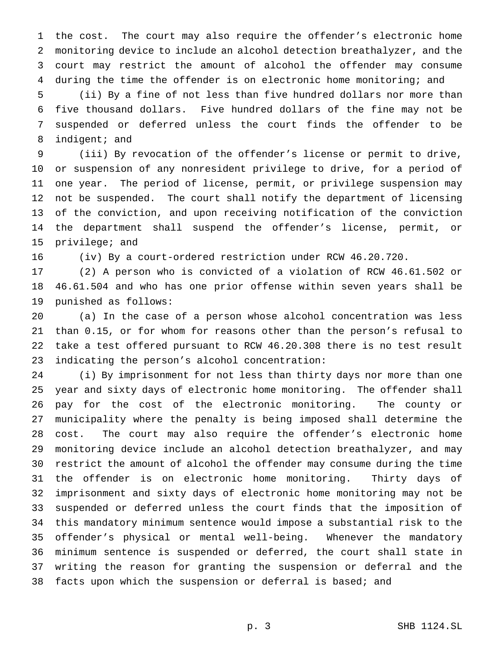the cost. The court may also require the offender's electronic home monitoring device to include an alcohol detection breathalyzer, and the court may restrict the amount of alcohol the offender may consume during the time the offender is on electronic home monitoring; and

 (ii) By a fine of not less than five hundred dollars nor more than five thousand dollars. Five hundred dollars of the fine may not be suspended or deferred unless the court finds the offender to be indigent; and

 (iii) By revocation of the offender's license or permit to drive, or suspension of any nonresident privilege to drive, for a period of one year. The period of license, permit, or privilege suspension may not be suspended. The court shall notify the department of licensing of the conviction, and upon receiving notification of the conviction the department shall suspend the offender's license, permit, or privilege; and

(iv) By a court-ordered restriction under RCW 46.20.720.

 (2) A person who is convicted of a violation of RCW 46.61.502 or 46.61.504 and who has one prior offense within seven years shall be punished as follows:

 (a) In the case of a person whose alcohol concentration was less than 0.15, or for whom for reasons other than the person's refusal to take a test offered pursuant to RCW 46.20.308 there is no test result indicating the person's alcohol concentration:

 (i) By imprisonment for not less than thirty days nor more than one year and sixty days of electronic home monitoring. The offender shall pay for the cost of the electronic monitoring. The county or municipality where the penalty is being imposed shall determine the cost. The court may also require the offender's electronic home monitoring device include an alcohol detection breathalyzer, and may restrict the amount of alcohol the offender may consume during the time the offender is on electronic home monitoring. Thirty days of imprisonment and sixty days of electronic home monitoring may not be suspended or deferred unless the court finds that the imposition of this mandatory minimum sentence would impose a substantial risk to the offender's physical or mental well-being. Whenever the mandatory minimum sentence is suspended or deferred, the court shall state in writing the reason for granting the suspension or deferral and the facts upon which the suspension or deferral is based; and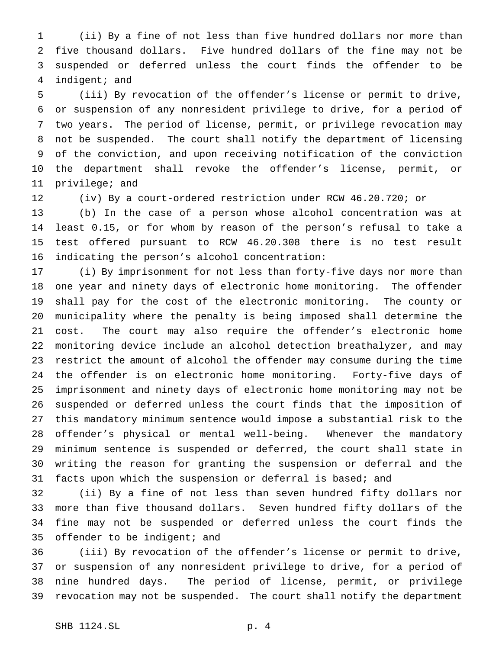(ii) By a fine of not less than five hundred dollars nor more than five thousand dollars. Five hundred dollars of the fine may not be suspended or deferred unless the court finds the offender to be indigent; and

 (iii) By revocation of the offender's license or permit to drive, or suspension of any nonresident privilege to drive, for a period of two years. The period of license, permit, or privilege revocation may not be suspended. The court shall notify the department of licensing of the conviction, and upon receiving notification of the conviction the department shall revoke the offender's license, permit, or privilege; and

(iv) By a court-ordered restriction under RCW 46.20.720; or

 (b) In the case of a person whose alcohol concentration was at least 0.15, or for whom by reason of the person's refusal to take a test offered pursuant to RCW 46.20.308 there is no test result indicating the person's alcohol concentration:

 (i) By imprisonment for not less than forty-five days nor more than one year and ninety days of electronic home monitoring. The offender shall pay for the cost of the electronic monitoring. The county or municipality where the penalty is being imposed shall determine the cost. The court may also require the offender's electronic home monitoring device include an alcohol detection breathalyzer, and may restrict the amount of alcohol the offender may consume during the time the offender is on electronic home monitoring. Forty-five days of imprisonment and ninety days of electronic home monitoring may not be suspended or deferred unless the court finds that the imposition of this mandatory minimum sentence would impose a substantial risk to the offender's physical or mental well-being. Whenever the mandatory minimum sentence is suspended or deferred, the court shall state in writing the reason for granting the suspension or deferral and the facts upon which the suspension or deferral is based; and

 (ii) By a fine of not less than seven hundred fifty dollars nor more than five thousand dollars. Seven hundred fifty dollars of the fine may not be suspended or deferred unless the court finds the 35 offender to be indigent; and

 (iii) By revocation of the offender's license or permit to drive, or suspension of any nonresident privilege to drive, for a period of nine hundred days. The period of license, permit, or privilege revocation may not be suspended. The court shall notify the department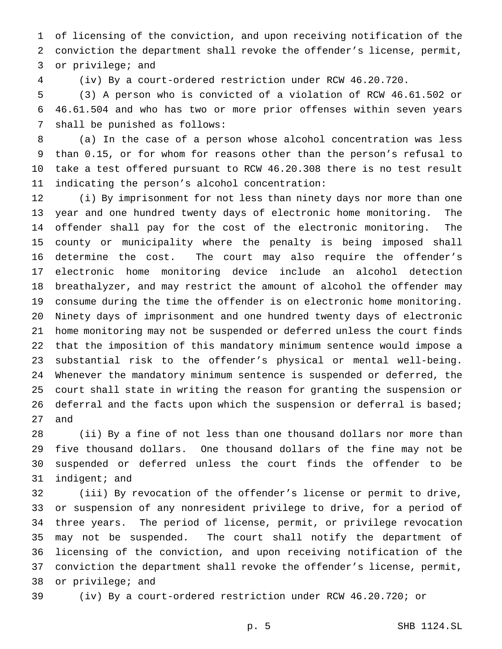of licensing of the conviction, and upon receiving notification of the conviction the department shall revoke the offender's license, permit, or privilege; and

(iv) By a court-ordered restriction under RCW 46.20.720.

 (3) A person who is convicted of a violation of RCW 46.61.502 or 46.61.504 and who has two or more prior offenses within seven years shall be punished as follows:

 (a) In the case of a person whose alcohol concentration was less than 0.15, or for whom for reasons other than the person's refusal to take a test offered pursuant to RCW 46.20.308 there is no test result indicating the person's alcohol concentration:

 (i) By imprisonment for not less than ninety days nor more than one year and one hundred twenty days of electronic home monitoring. The offender shall pay for the cost of the electronic monitoring. The county or municipality where the penalty is being imposed shall determine the cost. The court may also require the offender's electronic home monitoring device include an alcohol detection breathalyzer, and may restrict the amount of alcohol the offender may consume during the time the offender is on electronic home monitoring. Ninety days of imprisonment and one hundred twenty days of electronic home monitoring may not be suspended or deferred unless the court finds that the imposition of this mandatory minimum sentence would impose a substantial risk to the offender's physical or mental well-being. Whenever the mandatory minimum sentence is suspended or deferred, the court shall state in writing the reason for granting the suspension or 26 deferral and the facts upon which the suspension or deferral is based; and

 (ii) By a fine of not less than one thousand dollars nor more than five thousand dollars. One thousand dollars of the fine may not be suspended or deferred unless the court finds the offender to be indigent; and

 (iii) By revocation of the offender's license or permit to drive, or suspension of any nonresident privilege to drive, for a period of three years. The period of license, permit, or privilege revocation may not be suspended. The court shall notify the department of licensing of the conviction, and upon receiving notification of the conviction the department shall revoke the offender's license, permit, or privilege; and

(iv) By a court-ordered restriction under RCW 46.20.720; or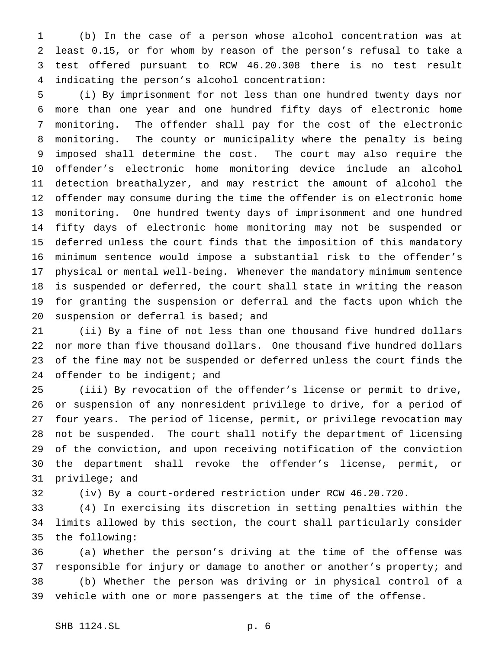(b) In the case of a person whose alcohol concentration was at least 0.15, or for whom by reason of the person's refusal to take a test offered pursuant to RCW 46.20.308 there is no test result indicating the person's alcohol concentration:

 (i) By imprisonment for not less than one hundred twenty days nor more than one year and one hundred fifty days of electronic home monitoring. The offender shall pay for the cost of the electronic monitoring. The county or municipality where the penalty is being imposed shall determine the cost. The court may also require the offender's electronic home monitoring device include an alcohol detection breathalyzer, and may restrict the amount of alcohol the offender may consume during the time the offender is on electronic home monitoring. One hundred twenty days of imprisonment and one hundred fifty days of electronic home monitoring may not be suspended or deferred unless the court finds that the imposition of this mandatory minimum sentence would impose a substantial risk to the offender's physical or mental well-being. Whenever the mandatory minimum sentence is suspended or deferred, the court shall state in writing the reason for granting the suspension or deferral and the facts upon which the 20 suspension or deferral is based; and

 (ii) By a fine of not less than one thousand five hundred dollars nor more than five thousand dollars. One thousand five hundred dollars of the fine may not be suspended or deferred unless the court finds the 24 offender to be indigent; and

 (iii) By revocation of the offender's license or permit to drive, or suspension of any nonresident privilege to drive, for a period of four years. The period of license, permit, or privilege revocation may not be suspended. The court shall notify the department of licensing of the conviction, and upon receiving notification of the conviction the department shall revoke the offender's license, permit, or privilege; and

(iv) By a court-ordered restriction under RCW 46.20.720.

 (4) In exercising its discretion in setting penalties within the limits allowed by this section, the court shall particularly consider the following:

 (a) Whether the person's driving at the time of the offense was responsible for injury or damage to another or another's property; and (b) Whether the person was driving or in physical control of a vehicle with one or more passengers at the time of the offense.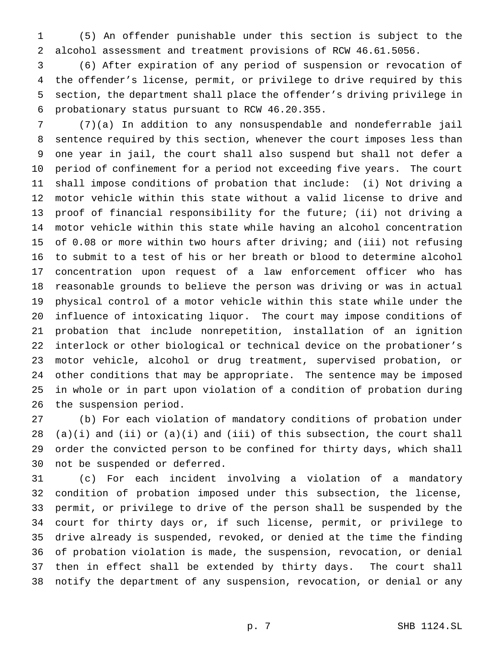(5) An offender punishable under this section is subject to the alcohol assessment and treatment provisions of RCW 46.61.5056.

 (6) After expiration of any period of suspension or revocation of the offender's license, permit, or privilege to drive required by this section, the department shall place the offender's driving privilege in probationary status pursuant to RCW 46.20.355.

 (7)(a) In addition to any nonsuspendable and nondeferrable jail sentence required by this section, whenever the court imposes less than one year in jail, the court shall also suspend but shall not defer a period of confinement for a period not exceeding five years. The court shall impose conditions of probation that include: (i) Not driving a motor vehicle within this state without a valid license to drive and proof of financial responsibility for the future; (ii) not driving a motor vehicle within this state while having an alcohol concentration of 0.08 or more within two hours after driving; and (iii) not refusing to submit to a test of his or her breath or blood to determine alcohol concentration upon request of a law enforcement officer who has reasonable grounds to believe the person was driving or was in actual physical control of a motor vehicle within this state while under the influence of intoxicating liquor. The court may impose conditions of probation that include nonrepetition, installation of an ignition interlock or other biological or technical device on the probationer's motor vehicle, alcohol or drug treatment, supervised probation, or other conditions that may be appropriate. The sentence may be imposed in whole or in part upon violation of a condition of probation during the suspension period.

 (b) For each violation of mandatory conditions of probation under 28 (a)(i) and (ii) or  $(a)(i)$  and (iii) of this subsection, the court shall order the convicted person to be confined for thirty days, which shall not be suspended or deferred.

 (c) For each incident involving a violation of a mandatory condition of probation imposed under this subsection, the license, permit, or privilege to drive of the person shall be suspended by the court for thirty days or, if such license, permit, or privilege to drive already is suspended, revoked, or denied at the time the finding of probation violation is made, the suspension, revocation, or denial then in effect shall be extended by thirty days. The court shall notify the department of any suspension, revocation, or denial or any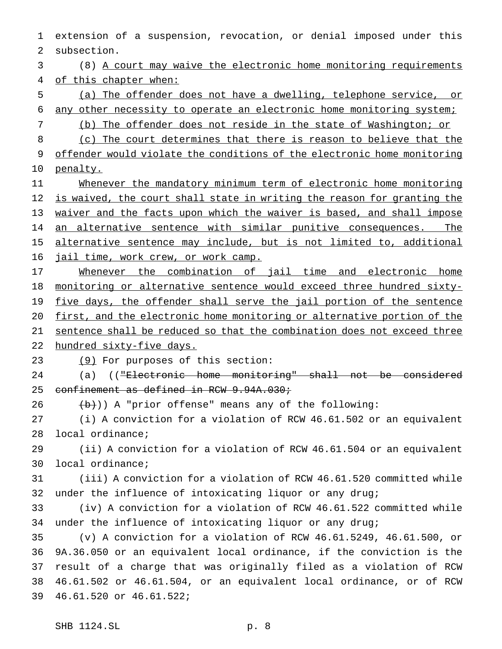extension of a suspension, revocation, or denial imposed under this subsection.

 (8) A court may waive the electronic home monitoring requirements of this chapter when:

 (a) The offender does not have a dwelling, telephone service, or any other necessity to operate an electronic home monitoring system;

(b) The offender does not reside in the state of Washington; or

8 (c) The court determines that there is reason to believe that the offender would violate the conditions of the electronic home monitoring penalty.

11 Whenever the mandatory minimum term of electronic home monitoring is waived, the court shall state in writing the reason for granting the waiver and the facts upon which the waiver is based, and shall impose 14 an alternative sentence with similar punitive consequences. The alternative sentence may include, but is not limited to, additional 16 jail time, work crew, or work camp.

17 Whenever the combination of jail time and electronic home monitoring or alternative sentence would exceed three hundred sixty-19 five days, the offender shall serve the jail portion of the sentence first, and the electronic home monitoring or alternative portion of the sentence shall be reduced so that the combination does not exceed three

hundred sixty-five days.

(9) For purposes of this section:

24 (a) (("Electronic home monitoring" shall not be considered 25 confinement as defined in RCW 9.94A.030;

(b)) A "prior offense" means any of the following:

 (i) A conviction for a violation of RCW 46.61.502 or an equivalent local ordinance;

 (ii) A conviction for a violation of RCW 46.61.504 or an equivalent local ordinance;

 (iii) A conviction for a violation of RCW 46.61.520 committed while under the influence of intoxicating liquor or any drug;

 (iv) A conviction for a violation of RCW 46.61.522 committed while under the influence of intoxicating liquor or any drug;

 (v) A conviction for a violation of RCW 46.61.5249, 46.61.500, or 9A.36.050 or an equivalent local ordinance, if the conviction is the result of a charge that was originally filed as a violation of RCW 46.61.502 or 46.61.504, or an equivalent local ordinance, or of RCW 46.61.520 or 46.61.522;